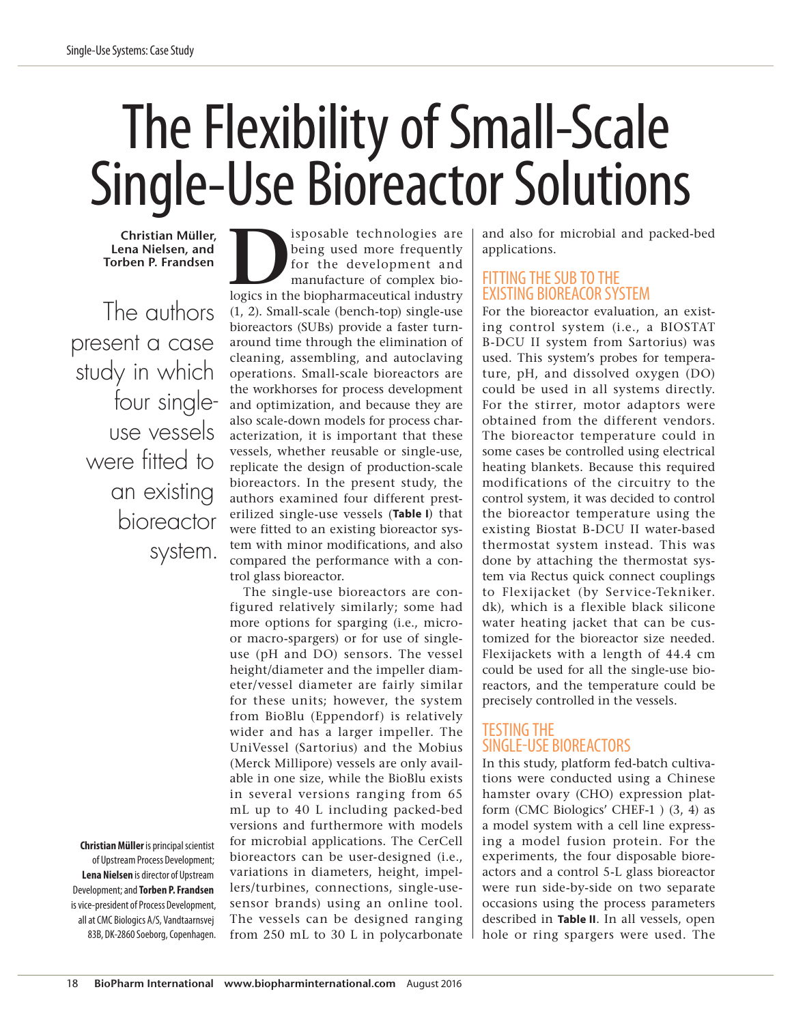# The Flexibility of Small-Scale Single-Use Bioreactor Solutions

**Christian Müller, Lena Nielsen, and Torben P. Frandsen**

The authors present a case study in which four singleuse vessels were fitted to an existing **bioreactor** system.

**Christian Müller** is principal scientist of Upstream Process Development; **Lena Nielsen** is director of Upstream Development; and **Torben P. Frandsen** is vice-president of Process Development, all at CMC Biologics A/S, Vandtaarnsvej 83B, DK-2860 Soeborg, Copenhagen. **D** isposable technologies are being used more frequently for the development and manufacture of complex biologics in the biopharmaceutical industry (1, 2). Small-scale (bench-top) single-use bioreactors (SUBs) provide a faster turnaround time through the elimination of cleaning, assembling, and autoclaving operations. Small-scale bioreactors are the workhorses for process development and optimization, and because they are also scale-down models for process characterization, it is important that these vessels, whether reusable or single-use, replicate the design of production-scale bioreactors. In the present study, the authors examined four different presterilized single-use vessels (**Table I**) that were fitted to an existing bioreactor system with minor modifications, and also compared the performance with a control glass bioreactor.

The single-use bioreactors are configured relatively similarly; some had more options for sparging (i.e., microor macro-spargers) or for use of singleuse (pH and DO) sensors. The vessel height/diameter and the impeller diameter/vessel diameter are fairly similar for these units; however, the system from BioBlu (Eppendorf) is relatively wider and has a larger impeller. The UniVessel (Sartorius) and the Mobius (Merck Millipore) vessels are only available in one size, while the BioBlu exists in several versions ranging from 65 mL up to 40 L including packed-bed versions and furthermore with models for microbial applications. The CerCell bioreactors can be user-designed (i.e., variations in diameters, height, impellers/turbines, connections, single-usesensor brands) using an online tool. The vessels can be designed ranging from 250 mL to 30 L in polycarbonate and also for microbial and packed-bed applications.

#### FITTING THE SUB TO THE EXISTING BIOREACOR SYSTEM

For the bioreactor evaluation, an existing control system (i.e., a BIOSTAT B-DCU II system from Sartorius) was used. This system's probes for temperature, pH, and dissolved oxygen (DO) could be used in all systems directly. For the stirrer, motor adaptors were obtained from the different vendors. The bioreactor temperature could in some cases be controlled using electrical heating blankets. Because this required modifications of the circuitry to the control system, it was decided to control the bioreactor temperature using the existing Biostat B-DCU II water-based thermostat system instead. This was done by attaching the thermostat system via Rectus quick connect couplings to Flexijacket (by Service-Tekniker. dk), which is a flexible black silicone water heating jacket that can be customized for the bioreactor size needed. Flexijackets with a length of 44.4 cm could be used for all the single-use bioreactors, and the temperature could be precisely controlled in the vessels.

## TESTING THE SINGLE-USE BIOREACTORS

In this study, platform fed-batch cultivations were conducted using a Chinese hamster ovary (CHO) expression platform (CMC Biologics' CHEF-1 ) (3, 4) as a model system with a cell line expressing a model fusion protein. For the experiments, the four disposable bioreactors and a control 5-L glass bioreactor were run side-by-side on two separate occasions using the process parameters described in **Table II**. In all vessels, open hole or ring spargers were used. The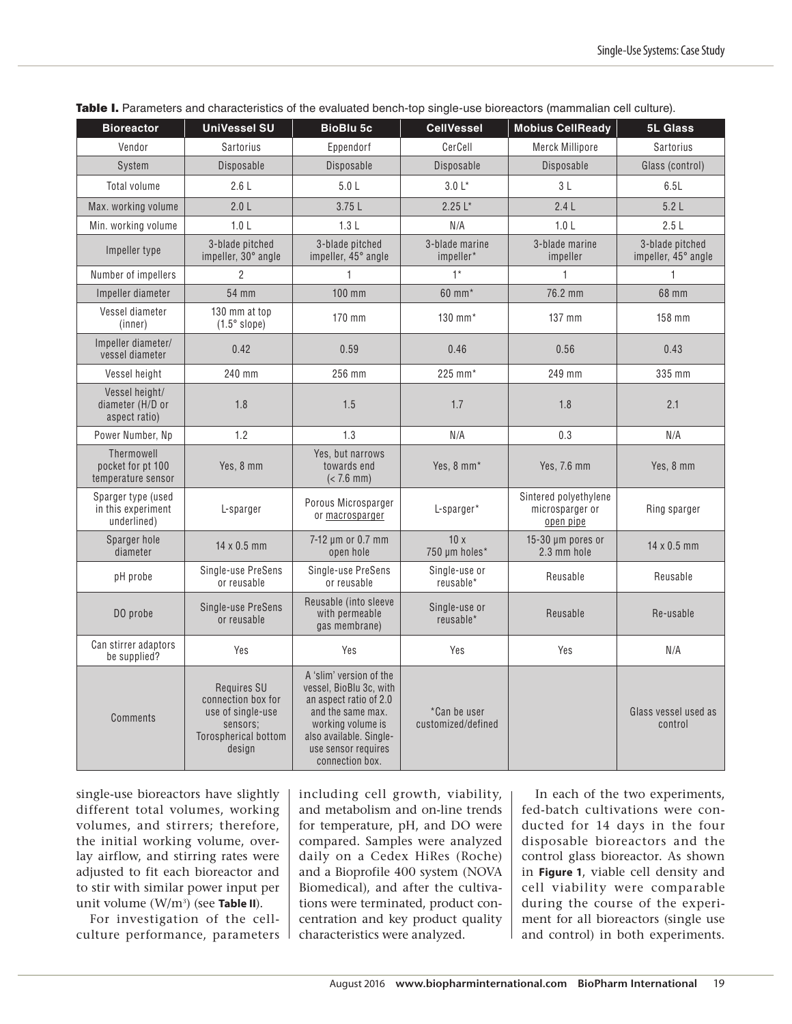| <b>Bioreactor</b>                                       | <b>UniVessel SU</b>                                                                                  | <b>BioBlu 5c</b>                                                                                                                                                                            | <b>CellVessel</b>                  | <b>Mobius CellReady</b>                               | <b>5L Glass</b>                        |
|---------------------------------------------------------|------------------------------------------------------------------------------------------------------|---------------------------------------------------------------------------------------------------------------------------------------------------------------------------------------------|------------------------------------|-------------------------------------------------------|----------------------------------------|
| Vendor                                                  | <b>Sartorius</b>                                                                                     | Eppendorf                                                                                                                                                                                   | CerCell                            | Merck Millipore                                       | Sartorius                              |
| System                                                  | Disposable                                                                                           | Disposable                                                                                                                                                                                  | Disposable                         | Disposable                                            | Glass (control)                        |
| Total volume                                            | 2.6L                                                                                                 | 5.0 <sub>L</sub>                                                                                                                                                                            | $3.0 L*$                           | 3L                                                    | 6.5L                                   |
| Max. working volume                                     | 2.0 L                                                                                                | 3.75 L                                                                                                                                                                                      | $2.25 L*$                          | 2.4L                                                  | 5.2L                                   |
| Min. working volume                                     | 1.0 <sub>L</sub>                                                                                     | 1.3L                                                                                                                                                                                        | N/A                                | 1.0 <sub>L</sub>                                      | 2.5L                                   |
| Impeller type                                           | 3-blade pitched<br>impeller, 30° angle                                                               | 3-blade pitched<br>impeller, 45° angle                                                                                                                                                      | 3-blade marine<br>impeller*        | 3-blade marine<br>impeller                            | 3-blade pitched<br>impeller, 45° angle |
| Number of impellers                                     | 2                                                                                                    | 1                                                                                                                                                                                           | $1*$                               | 1                                                     | 1                                      |
| Impeller diameter                                       | 54 mm                                                                                                | 100 mm                                                                                                                                                                                      | 60 mm <sup>*</sup>                 | 76.2 mm                                               | 68 mm                                  |
| Vessel diameter<br>(inner)                              | 130 mm at top<br>$(1.5°$ slope)                                                                      | 170 mm                                                                                                                                                                                      | 130 mm $*$                         | 137 mm                                                | 158 mm                                 |
| Impeller diameter/<br>vessel diameter                   | 0.42                                                                                                 | 0.59                                                                                                                                                                                        | 0.46                               | 0.56                                                  | 0.43                                   |
| Vessel height                                           | 240 mm                                                                                               | 256 mm                                                                                                                                                                                      | 225 mm*                            | 249 mm                                                | 335 mm                                 |
| Vessel height/<br>diameter (H/D or<br>aspect ratio)     | 1.8                                                                                                  | 1.5                                                                                                                                                                                         | 1.7                                | 1.8                                                   | 2.1                                    |
| Power Number, Np                                        | 1.2                                                                                                  | 1.3                                                                                                                                                                                         | N/A                                | 0.3                                                   | N/A                                    |
| Thermowell<br>pocket for pt 100<br>temperature sensor   | Yes, 8 mm                                                                                            | Yes, but narrows<br>towards end<br>$(< 7.6$ mm)                                                                                                                                             | Yes, 8 mm*                         | Yes, 7.6 mm                                           | Yes, 8 mm                              |
| Sparger type (used<br>in this experiment<br>underlined) | L-sparger                                                                                            | Porous Microsparger<br>or macrosparger                                                                                                                                                      | L-sparger*                         | Sintered polyethylene<br>microsparger or<br>open pipe | Ring sparger                           |
| Sparger hole<br>diameter                                | $14 \times 0.5$ mm                                                                                   | 7-12 µm or 0.7 mm<br>open hole                                                                                                                                                              | 10x<br>750 µm holes*               | 15-30 µm pores or<br>2.3 mm hole                      | $14 \times 0.5$ mm                     |
| pH probe                                                | Single-use PreSens<br>or reusable                                                                    | Single-use PreSens<br>or reusable                                                                                                                                                           | Single-use or<br>reusable*         | Reusable                                              | Reusable                               |
| DO probe                                                | Single-use PreSens<br>or reusable                                                                    | Reusable (into sleeve<br>with permeable<br>gas membrane)                                                                                                                                    | Single-use or<br>reusable*         | Reusable                                              | Re-usable                              |
| Can stirrer adaptors<br>be supplied?                    | Yes                                                                                                  | Yes                                                                                                                                                                                         | Yes                                | Yes                                                   | N/A                                    |
| Comments                                                | Requires SU<br>connection box for<br>use of single-use<br>sensors;<br>Torospherical bottom<br>design | A 'slim' version of the<br>vessel, BioBlu 3c, with<br>an aspect ratio of 2.0<br>and the same max.<br>working volume is<br>also available. Single-<br>use sensor requires<br>connection box. | *Can be user<br>customized/defined |                                                       | Glass vessel used as<br>control        |

Table I. Parameters and characteristics of the evaluated bench-top single-use bioreactors (mammalian cell culture).

single-use bioreactors have slightly different total volumes, working volumes, and stirrers; therefore, the initial working volume, overlay airflow, and stirring rates were adjusted to fit each bioreactor and to stir with similar power input per unit volume (W/m<sup>3</sup> ) (see **Table II**).

For investigation of the cellculture performance, parameters including cell growth, viability, and metabolism and on-line trends for temperature, pH, and DO were compared. Samples were analyzed daily on a Cedex HiRes (Roche) and a Bioprofile 400 system (NOVA Biomedical), and after the cultivations were terminated, product concentration and key product quality characteristics were analyzed.

In each of the two experiments, fed-batch cultivations were conducted for 14 days in the four disposable bioreactors and the control glass bioreactor. As shown in **Figure 1**, viable cell density and cell viability were comparable during the course of the experiment for all bioreactors (single use and control) in both experiments.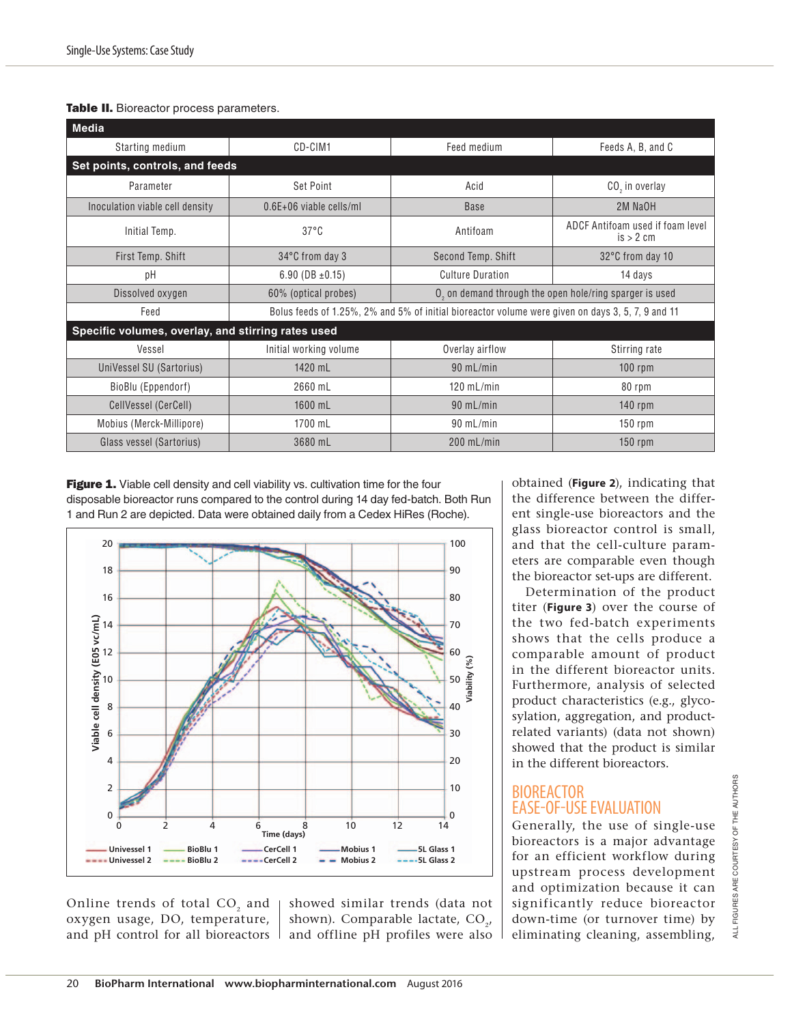Table II. Bioreactor process parameters.

| <b>Media</b>                                       |                                                                                                   |                                                                     |                                                 |  |  |  |  |
|----------------------------------------------------|---------------------------------------------------------------------------------------------------|---------------------------------------------------------------------|-------------------------------------------------|--|--|--|--|
| Starting medium                                    | CD-CIM1                                                                                           | Feed medium                                                         | Feeds A, B, and C                               |  |  |  |  |
| Set points, controls, and feeds                    |                                                                                                   |                                                                     |                                                 |  |  |  |  |
| Parameter                                          | Set Point                                                                                         | Acid                                                                | CO <sub>2</sub> in overlay                      |  |  |  |  |
| Inoculation viable cell density                    | 0.6E+06 viable cells/ml                                                                           | <b>Base</b>                                                         | 2M NaOH                                         |  |  |  |  |
| Initial Temp.                                      | $37^{\circ}$ C                                                                                    | Antifoam                                                            | ADCF Antifoam used if foam level<br>$is > 2$ cm |  |  |  |  |
| First Temp. Shift                                  | 34°C from day 3                                                                                   | Second Temp. Shift                                                  | 32°C from day 10                                |  |  |  |  |
| рH                                                 | 6.90 (DB $\pm$ 0.15)                                                                              | <b>Culture Duration</b>                                             | 14 days                                         |  |  |  |  |
| Dissolved oxygen                                   | 60% (optical probes)                                                                              | O <sub>,</sub> on demand through the open hole/ring sparger is used |                                                 |  |  |  |  |
| Feed                                               | Bolus feeds of 1.25%, 2% and 5% of initial bioreactor volume were given on days 3, 5, 7, 9 and 11 |                                                                     |                                                 |  |  |  |  |
| Specific volumes, overlay, and stirring rates used |                                                                                                   |                                                                     |                                                 |  |  |  |  |
| Vessel                                             | Initial working volume                                                                            | Overlay airflow                                                     | Stirring rate                                   |  |  |  |  |
| UniVessel SU (Sartorius)                           | 1420 mL                                                                                           | 90 mL/min                                                           | $100$ rpm                                       |  |  |  |  |
| BioBlu (Eppendorf)                                 | 2660 mL                                                                                           | $120$ mL/min                                                        | 80 rpm                                          |  |  |  |  |
| CellVessel (CerCell)                               | 1600 mL                                                                                           | 90 mL/min                                                           | $140$ rpm                                       |  |  |  |  |
| Mobius (Merck-Millipore)                           | 1700 mL                                                                                           | 90 mL/min                                                           | $150$ rpm                                       |  |  |  |  |
| Glass vessel (Sartorius)                           | 3680 mL                                                                                           | $200$ mL/min                                                        | $150$ rpm                                       |  |  |  |  |

Figure 1. Viable cell density and cell viability vs. cultivation time for the four disposable bioreactor runs compared to the control during 14 day fed-batch. Both Run 1 and Run 2 are depicted. Data were obtained daily from a Cedex HiRes (Roche).



Online trends of total  $CO<sub>2</sub>$  and oxygen usage, DO, temperature, and pH control for all bioreactors

showed similar trends (data not shown). Comparable lactate,  $CO_{2'}$ and offline pH profiles were also

obtained (**Figure 2**), indicating that the difference between the different single-use bioreactors and the glass bioreactor control is small, and that the cell-culture parameters are comparable even though the bioreactor set-ups are different.

Determination of the product titer (**Figure 3**) over the course of the two fed-batch experiments shows that the cells produce a comparable amount of product in the different bioreactor units. Furthermore, analysis of selected product characteristics (e.g., glycosylation, aggregation, and productrelated variants) (data not shown) showed that the product is similar in the different bioreactors.

### BIOREACTOR EASE-OF-USE EVALUATION

Generally, the use of single-use bioreactors is a major advantage for an efficient workflow during upstream process development and optimization because it can significantly reduce bioreactor down-time (or turnover time) by eliminating cleaning, assembling,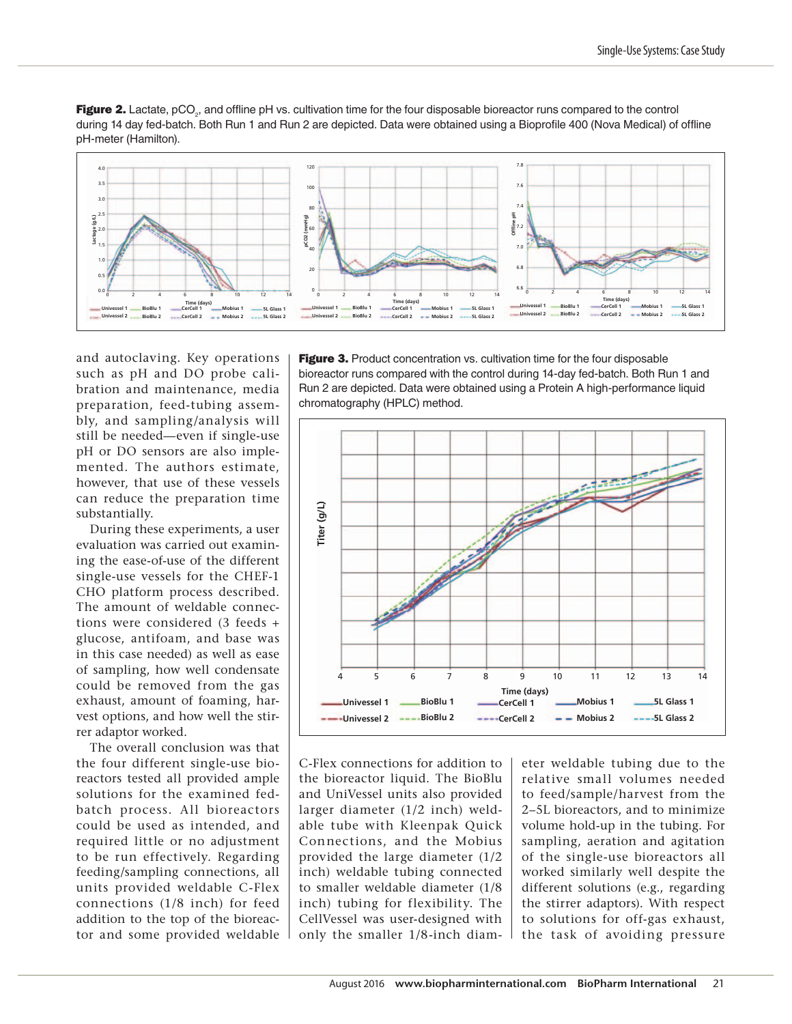

Figure 2. Lactate, pCO<sub>2</sub>, and offline pH vs. cultivation time for the four disposable bioreactor runs compared to the control during 14 day fed-batch. Both Run 1 and Run 2 are depicted. Data were obtained using a Bioprofile 400 (Nova Medical) of offline pH-meter (Hamilton).

and autoclaving. Key operations such as pH and DO probe calibration and maintenance, media preparation, feed-tubing assembly, and sampling/analysis will still be needed—even if single-use pH or DO sensors are also implemented. The authors estimate, however, that use of these vessels can reduce the preparation time substantially.

During these experiments, a user evaluation was carried out examining the ease-of-use of the different single-use vessels for the CHEF-1 CHO platform process described. The amount of weldable connections were considered (3 feeds + glucose, antifoam, and base was in this case needed) as well as ease of sampling, how well condensate could be removed from the gas exhaust, amount of foaming, harvest options, and how well the stirrer adaptor worked.

The overall conclusion was that the four different single-use bioreactors tested all provided ample solutions for the examined fedbatch process. All bioreactors could be used as intended, and required little or no adjustment to be run effectively. Regarding feeding/sampling connections, all units provided weldable C-Flex connections (1/8 inch) for feed addition to the top of the bioreactor and some provided weldable **Figure 3.** Product concentration vs. cultivation time for the four disposable bioreactor runs compared with the control during 14-day fed-batch. Both Run 1 and Run 2 are depicted. Data were obtained using a Protein A high-performance liquid chromatography (HPLC) method.



C-Flex connections for addition to the bioreactor liquid. The BioBlu and UniVessel units also provided larger diameter (1/2 inch) weldable tube with Kleenpak Quick Connections, and the Mobius provided the large diameter (1/2 inch) weldable tubing connected to smaller weldable diameter (1/8 inch) tubing for flexibility. The CellVessel was user-designed with only the smaller 1/8-inch diameter weldable tubing due to the relative small volumes needed to feed/sample/harvest from the 2–5L bioreactors, and to minimize volume hold-up in the tubing. For sampling, aeration and agitation of the single-use bioreactors all worked similarly well despite the different solutions (e.g., regarding the stirrer adaptors). With respect to solutions for off-gas exhaust, the task of avoiding pressure